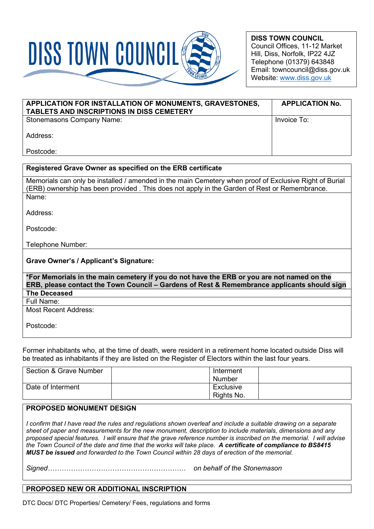

**DISS TOWN COUNCIL** Council Offices, 11-12 Market Hill, Diss, Norfolk, IP22 4JZ Telephone (01379) 643848 Email: towncouncil@diss.gov.uk Website: [www.diss.gov.uk](http://www.diss.gov.uk/)

| APPLICATION FOR INSTALLATION OF MONUMENTS, GRAVESTONES,<br>TABLETS AND INSCRIPTIONS IN DISS CEMETERY | <b>APPLICATION No.</b> |
|------------------------------------------------------------------------------------------------------|------------------------|
| <b>Stonemasons Company Name:</b>                                                                     | Invoice To:            |
| Address:                                                                                             |                        |
| Postcode:                                                                                            |                        |

# **Registered Grave Owner as specified on the ERB certificate** Memorials can only be installed / amended in the main Cemetery when proof of Exclusive Right of Burial (ERB) ownership has been provided . This does not apply in the Garden of Rest or Remembrance. Name: Address: Postcode: Telephone Number: **Grave Owner's / Applicant's Signature: \*For Memorials in the main cemetery if you do not have the ERB or you are not named on the**

**ERB, please contact the Town Council – Gardens of Rest & Remembrance applicants should sign The Deceased**

Full Name:

Most Recent Address:

Postcode:

Former inhabitants who, at the time of death, were resident in a retirement home located outside Diss will be treated as inhabitants if they are listed on the Register of Electors within the last four years.

| Section & Grave Number | Interment<br>Number     |  |
|------------------------|-------------------------|--|
| Date of Interment      | Exclusive<br>Rights No. |  |

### **PROPOSED MONUMENT DESIGN**

*I confirm that I have read the rules and regulations shown overleaf and include a suitable drawing on a separate sheet of paper and measurements for the new monument, description to include materials, dimensions and any proposed special features. I will ensure that the grave reference number is inscribed on the memorial. I will advise the Town Council of the date and time that the works will take place. A certificate of compliance to BS8415 MUST be issued and forwarded to the Town Council within 28 days of erection of the memorial.* 

*Signed…………………………………………………… on behalf of the Stonemason*

### **PROPOSED NEW OR ADDITIONAL INSCRIPTION**

DTC Docs/ DTC Properties/ Cemetery/ Fees, regulations and forms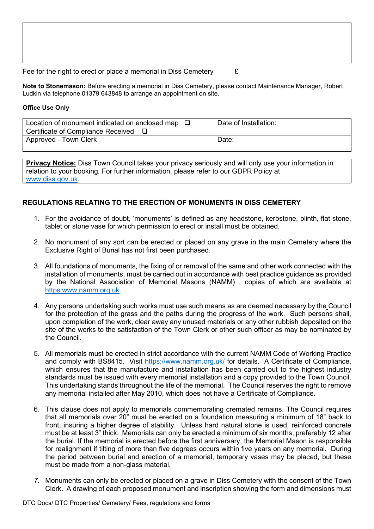Fee for the right to erect or place a memorial in Diss Cemetery  $\epsilon$ 

**Note to Stonemason:** Before erecting a memorial in Diss Cemetery, please contact Maintenance Manager, Robert Ludkin via telephone 01379 643848 to arrange an appointment on site.

#### **Office Use Only**

| Location of monument indicated on enclosed map | Date of Installation: |
|------------------------------------------------|-----------------------|
| Certificate of Compliance Received             |                       |
| Approved - Town Clerk                          | Date:                 |
|                                                |                       |

**Privacy Notice:** Diss Town Council takes your privacy seriously and will only use your information in relation to your booking*.* For further information, please refer to our GDPR Policy at [www.diss.gov.uk.](http://www.diss.gov.uk/)

## **REGULATIONS RELATING TO THE ERECTION OF MONUMENTS IN DISS CEMETERY**

- 1. For the avoidance of doubt, 'monuments' is defined as any headstone, kerbstone, plinth, flat stone, tablet or stone vase for which permission to erect or install must be obtained.
- 2. No monument of any sort can be erected or placed on any grave in the main Cemetery where the Exclusive Right of Burial has not first been purchased.
- 3. All foundations of monuments, the fixing of or removal of the same and other work connected with the installation of monuments, must be carried out in accordance with best practice guidance as provided by the National Association of Memorial Masons (NAMM) , copies of which are available at [https:www.namm.org.uk.](https://www.namm.org.uk/)
- 4. Any persons undertaking such works must use such means as are deemed necessary by the Council for the protection of the grass and the paths during the progress of the work. Such persons shall. upon completion of the work, clear away any unused materials or any other rubbish deposited on the site of the works to the satisfaction of the Town Clerk or other such officer as may be nominated by the Council.
- 5. All memorials must be erected in strict accordance with the current NAMM Code of Working Practice and comply with BS8415. Visit<https://www.namm.org.uk/> for details. A Certificate of Compliance, which ensures that the manufacture and installation has been carried out to the highest industry standards must be issued with every memorial installation and a copy provided to the Town Council. This undertaking stands throughout the life of the memorial. The Council reserves the right to remove any memorial installed after May 2010, which does not have a Certificate of Compliance.
- 6. This clause does not apply to memorials commemorating cremated remains. The Council requires that all memorials over 20" must be erected on a foundation measuring a minimum of 18" back to front, insuring a higher degree of stability. Unless hard natural stone is used, reinforced concrete must be at least 3" thick. Memorials can only be erected a minimum of six months, preferably 12 after the burial. If the memorial is erected before the first anniversary, the Memorial Mason is responsible for realignment if tilting of more than five degrees occurs within five years on any memorial. During the period between burial and erection of a memorial, temporary vases may be placed, but these must be made from a non-glass material.
- *7.* Monuments can only be erected or placed on a grave in Diss Cemetery with the consent of the Town Clerk. A drawing of each proposed monument and inscription showing the form and dimensions must